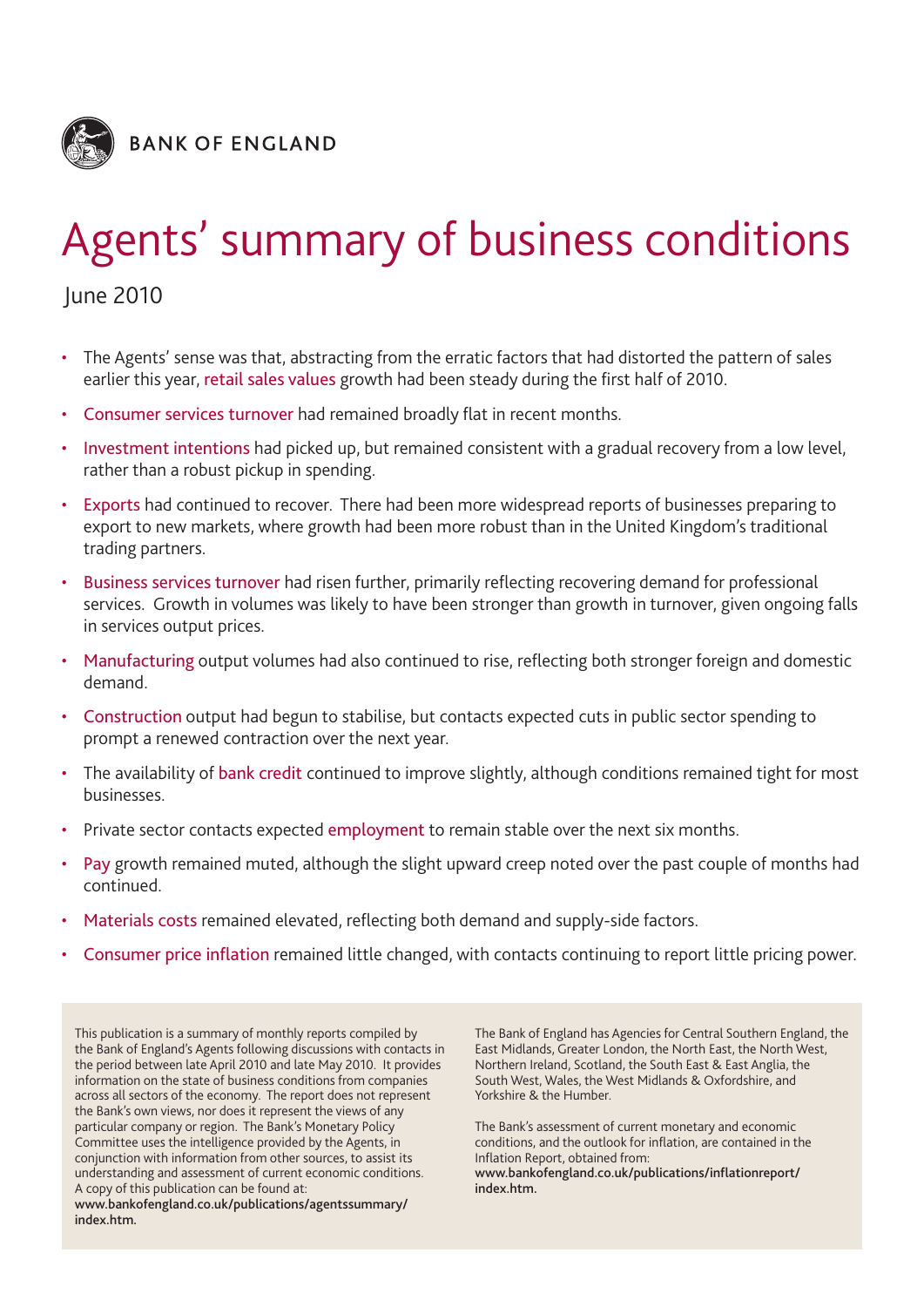

# Agents' summary of business conditions

June 2010

- The Agents' sense was that, abstracting from the erratic factors that had distorted the pattern of sales earlier this year, retail sales values growth had been steady during the first half of 2010.
- Consumer services turnover had remained broadly flat in recent months.
- Investment intentions had picked up, but remained consistent with a gradual recovery from a low level, rather than a robust pickup in spending.
- Exports had continued to recover. There had been more widespread reports of businesses preparing to export to new markets, where growth had been more robust than in the United Kingdom's traditional trading partners.
- Business services turnover had risen further, primarily reflecting recovering demand for professional services. Growth in volumes was likely to have been stronger than growth in turnover, given ongoing falls in services output prices.
- Manufacturing output volumes had also continued to rise, reflecting both stronger foreign and domestic demand.
- Construction output had begun to stabilise, but contacts expected cuts in public sector spending to prompt a renewed contraction over the next year.
- The availability of bank credit continued to improve slightly, although conditions remained tight for most businesses.
- Private sector contacts expected employment to remain stable over the next six months.
- Pay growth remained muted, although the slight upward creep noted over the past couple of months had continued.
- Materials costs remained elevated, reflecting both demand and supply-side factors.
- Consumer price inflation remained little changed, with contacts continuing to report little pricing power.

This publication is a summary of monthly reports compiled by the Bank of England's Agents following discussions with contacts in the period between late April 2010 and late May 2010. It provides information on the state of business conditions from companies across all sectors of the economy. The report does not represent the Bank's own views, nor does it represent the views of any particular company or region. The Bank's Monetary Policy Committee uses the intelligence provided by the Agents, in conjunction with information from other sources, to assist its understanding and assessment of current economic conditions. A copy of this publication can be found at: **www.bankofengland.co.uk/publications/agentssummary/ index.htm.**

The Bank of England has Agencies for Central Southern England, the East Midlands, Greater London, the North East, the North West, Northern Ireland, Scotland, the South East & East Anglia, the South West, Wales, the West Midlands & Oxfordshire, and Yorkshire & the Humber.

The Bank's assessment of current monetary and economic conditions, and the outlook for inflation, are contained in the Inflation Report, obtained from: **www.bankofengland.co.uk/publications/inflationreport/ index.htm.**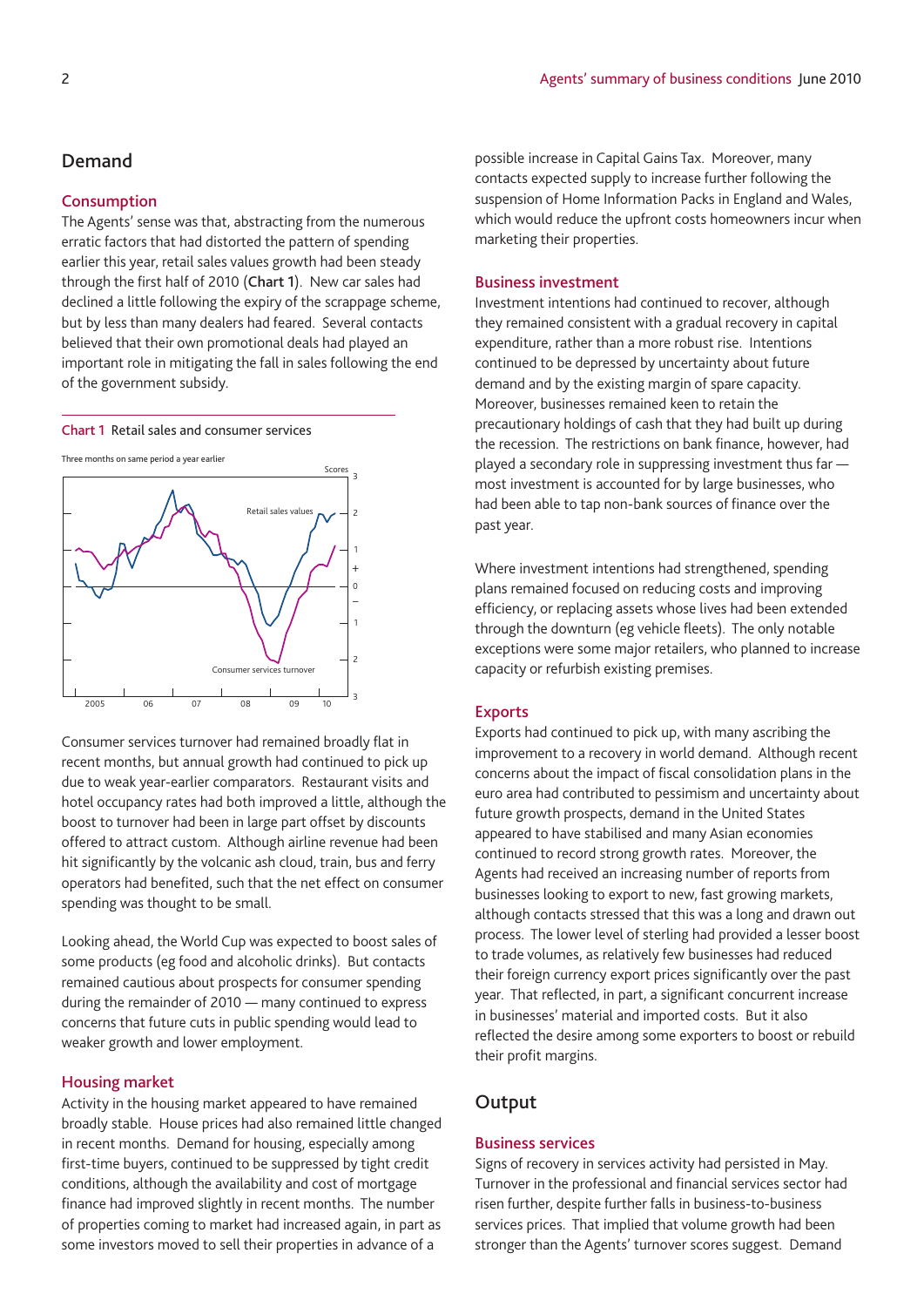#### **Demand**

#### **Consumption**

The Agents' sense was that, abstracting from the numerous erratic factors that had distorted the pattern of spending earlier this year, retail sales values growth had been steady through the first half of 2010 (**Chart 1**). New car sales had declined a little following the expiry of the scrappage scheme, but by less than many dealers had feared. Several contacts believed that their own promotional deals had played an important role in mitigating the fall in sales following the end of the government subsidy.

**Chart 1** Retail sales and consumer services



Consumer services turnover had remained broadly flat in recent months, but annual growth had continued to pick up due to weak year-earlier comparators. Restaurant visits and hotel occupancy rates had both improved a little, although the boost to turnover had been in large part offset by discounts offered to attract custom. Although airline revenue had been hit significantly by the volcanic ash cloud, train, bus and ferry operators had benefited, such that the net effect on consumer spending was thought to be small.

Looking ahead, the World Cup was expected to boost sales of some products (eg food and alcoholic drinks). But contacts remained cautious about prospects for consumer spending during the remainder of 2010 — many continued to express concerns that future cuts in public spending would lead to weaker growth and lower employment.

#### **Housing market**

Activity in the housing market appeared to have remained broadly stable. House prices had also remained little changed in recent months. Demand for housing, especially among first-time buyers, continued to be suppressed by tight credit conditions, although the availability and cost of mortgage finance had improved slightly in recent months. The number of properties coming to market had increased again, in part as some investors moved to sell their properties in advance of a

possible increase in Capital Gains Tax. Moreover, many contacts expected supply to increase further following the suspension of Home Information Packs in England and Wales, which would reduce the upfront costs homeowners incur when marketing their properties.

#### **Business investment**

Investment intentions had continued to recover, although they remained consistent with a gradual recovery in capital expenditure, rather than a more robust rise. Intentions continued to be depressed by uncertainty about future demand and by the existing margin of spare capacity. Moreover, businesses remained keen to retain the precautionary holdings of cash that they had built up during the recession. The restrictions on bank finance, however, had played a secondary role in suppressing investment thus far most investment is accounted for by large businesses, who had been able to tap non-bank sources of finance over the past year.

Where investment intentions had strengthened, spending plans remained focused on reducing costs and improving efficiency, or replacing assets whose lives had been extended through the downturn (eg vehicle fleets). The only notable exceptions were some major retailers, who planned to increase capacity or refurbish existing premises.

#### **Exports**

Exports had continued to pick up, with many ascribing the improvement to a recovery in world demand. Although recent concerns about the impact of fiscal consolidation plans in the euro area had contributed to pessimism and uncertainty about future growth prospects, demand in the United States appeared to have stabilised and many Asian economies continued to record strong growth rates. Moreover, the Agents had received an increasing number of reports from businesses looking to export to new, fast growing markets, although contacts stressed that this was a long and drawn out process. The lower level of sterling had provided a lesser boost to trade volumes, as relatively few businesses had reduced their foreign currency export prices significantly over the past year. That reflected, in part, a significant concurrent increase in businesses' material and imported costs. But it also reflected the desire among some exporters to boost or rebuild their profit margins.

## **Output**

#### **Business services**

Signs of recovery in services activity had persisted in May. Turnover in the professional and financial services sector had risen further, despite further falls in business-to-business services prices. That implied that volume growth had been stronger than the Agents' turnover scores suggest. Demand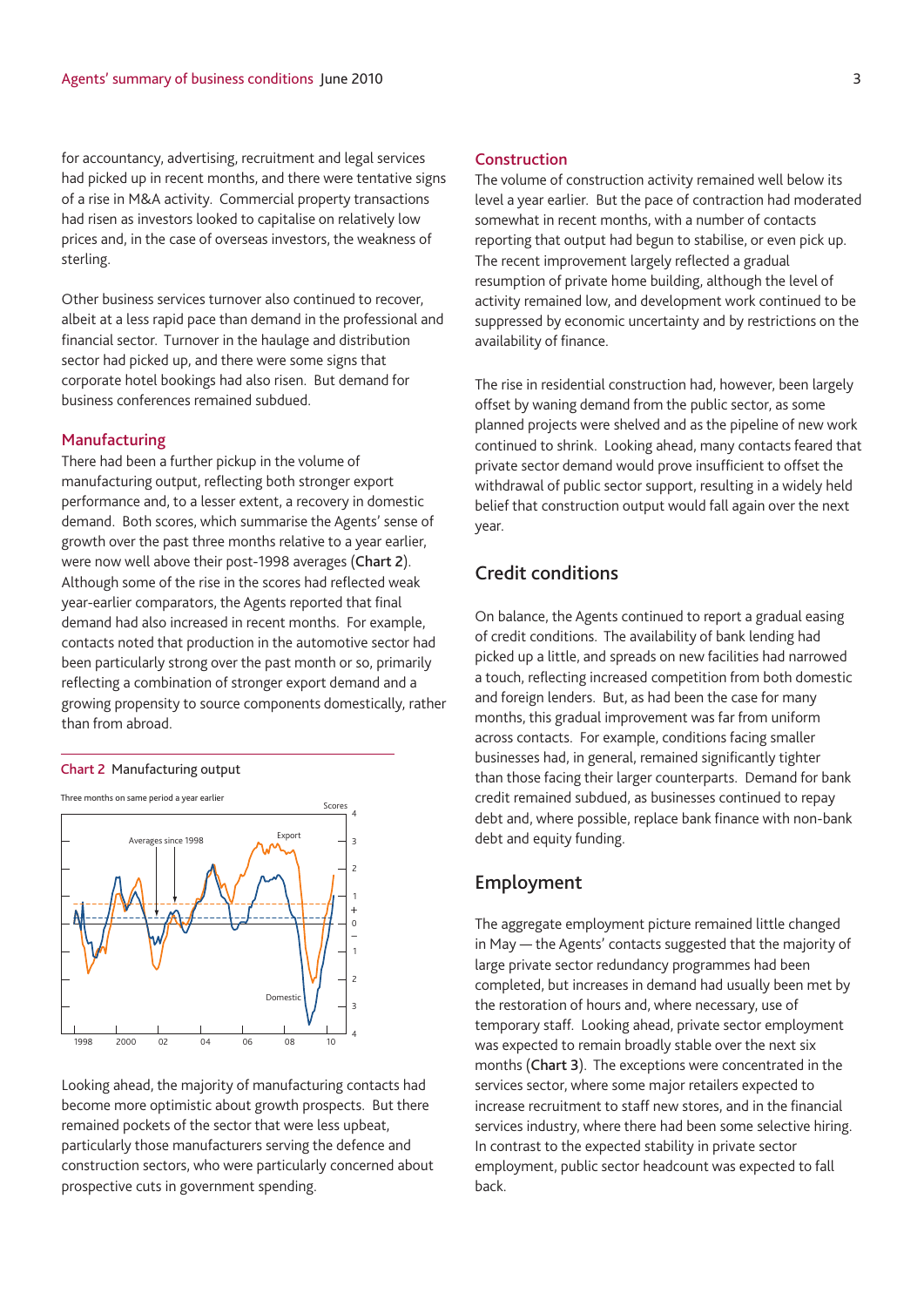for accountancy, advertising, recruitment and legal services had picked up in recent months, and there were tentative signs of a rise in M&A activity. Commercial property transactions had risen as investors looked to capitalise on relatively low prices and, in the case of overseas investors, the weakness of sterling.

Other business services turnover also continued to recover, albeit at a less rapid pace than demand in the professional and financial sector. Turnover in the haulage and distribution sector had picked up, and there were some signs that corporate hotel bookings had also risen. But demand for business conferences remained subdued.

#### **Manufacturing**

There had been a further pickup in the volume of manufacturing output, reflecting both stronger export performance and, to a lesser extent, a recovery in domestic demand. Both scores, which summarise the Agents' sense of growth over the past three months relative to a year earlier, were now well above their post-1998 averages (**Chart 2**). Although some of the rise in the scores had reflected weak year-earlier comparators, the Agents reported that final demand had also increased in recent months. For example, contacts noted that production in the automotive sector had been particularly strong over the past month or so, primarily reflecting a combination of stronger export demand and a growing propensity to source components domestically, rather than from abroad.

#### **Chart 2** Manufacturing output



Looking ahead, the majority of manufacturing contacts had become more optimistic about growth prospects. But there remained pockets of the sector that were less upbeat, particularly those manufacturers serving the defence and construction sectors, who were particularly concerned about prospective cuts in government spending.

#### **Construction**

The volume of construction activity remained well below its level a year earlier. But the pace of contraction had moderated somewhat in recent months, with a number of contacts reporting that output had begun to stabilise, or even pick up. The recent improvement largely reflected a gradual resumption of private home building, although the level of activity remained low, and development work continued to be suppressed by economic uncertainty and by restrictions on the availability of finance.

The rise in residential construction had, however, been largely offset by waning demand from the public sector, as some planned projects were shelved and as the pipeline of new work continued to shrink. Looking ahead, many contacts feared that private sector demand would prove insufficient to offset the withdrawal of public sector support, resulting in a widely held belief that construction output would fall again over the next year.

## **Credit conditions**

On balance, the Agents continued to report a gradual easing of credit conditions. The availability of bank lending had picked up a little, and spreads on new facilities had narrowed a touch, reflecting increased competition from both domestic and foreign lenders. But, as had been the case for many months, this gradual improvement was far from uniform across contacts. For example, conditions facing smaller businesses had, in general, remained significantly tighter than those facing their larger counterparts. Demand for bank credit remained subdued, as businesses continued to repay debt and, where possible, replace bank finance with non-bank debt and equity funding.

## **Employment**

The aggregate employment picture remained little changed in May — the Agents' contacts suggested that the majority of large private sector redundancy programmes had been completed, but increases in demand had usually been met by the restoration of hours and, where necessary, use of temporary staff. Looking ahead, private sector employment was expected to remain broadly stable over the next six months (**Chart 3**). The exceptions were concentrated in the services sector, where some major retailers expected to increase recruitment to staff new stores, and in the financial services industry, where there had been some selective hiring. In contrast to the expected stability in private sector employment, public sector headcount was expected to fall back.